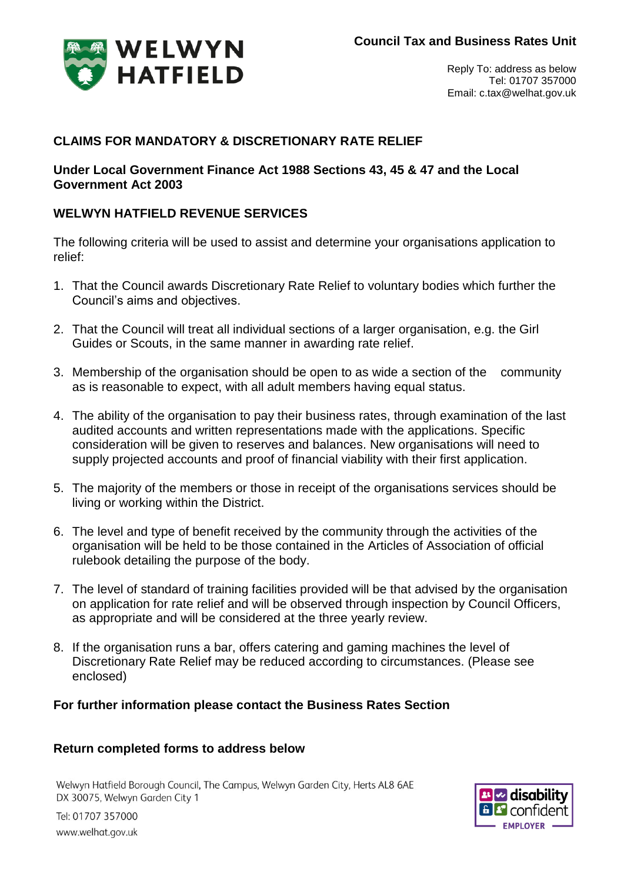

Reply To: address as below Tel: 01707 357000 Email: c.tax@welhat.gov.uk

### **CLAIMS FOR MANDATORY & DISCRETIONARY RATE RELIEF**

### **Under Local Government Finance Act 1988 Sections 43, 45 & 47 and the Local Government Act 2003**

### **WELWYN HATFIELD REVENUE SERVICES**

The following criteria will be used to assist and determine your organisations application to relief:

- 1. That the Council awards Discretionary Rate Relief to voluntary bodies which further the Council's aims and objectives.
- 2. That the Council will treat all individual sections of a larger organisation, e.g. the Girl Guides or Scouts, in the same manner in awarding rate relief.
- 3. Membership of the organisation should be open to as wide a section of the community as is reasonable to expect, with all adult members having equal status.
- 4. The ability of the organisation to pay their business rates, through examination of the last audited accounts and written representations made with the applications. Specific consideration will be given to reserves and balances. New organisations will need to supply projected accounts and proof of financial viability with their first application.
- 5. The majority of the members or those in receipt of the organisations services should be living or working within the District.
- 6. The level and type of benefit received by the community through the activities of the organisation will be held to be those contained in the Articles of Association of official rulebook detailing the purpose of the body.
- 7. The level of standard of training facilities provided will be that advised by the organisation on application for rate relief and will be observed through inspection by Council Officers, as appropriate and will be considered at the three yearly review.
- 8. If the organisation runs a bar, offers catering and gaming machines the level of Discretionary Rate Relief may be reduced according to circumstances. (Please see enclosed)

#### **For further information please contact the Business Rates Section**

#### **Return completed forms to address below**

Welwyn Hatfield Borough Council, The Campus, Welwyn Garden City, Herts AL8 6AE DX 30075, Welwyn Garden City 1



Tel: 01707 357000 www.welhat.gov.uk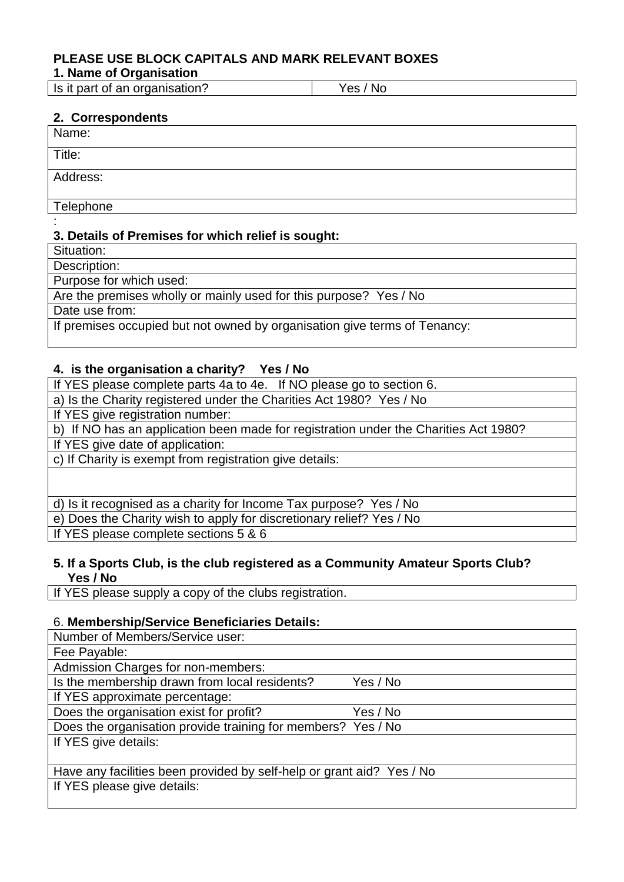## **PLEASE USE BLOCK CAPITALS AND MARK RELEVANT BOXES**

#### **1. Name of Organisation**

Is it part of an organisation? Yes / No

### **2. Correspondents**

Name:

Title:

Address:

**Telephone** 

#### : **3. Details of Premises for which relief is sought:**

Situation:

Description:

Purpose for which used:

Are the premises wholly or mainly used for this purpose? Yes / No

Date use from:

If premises occupied but not owned by organisation give terms of Tenancy:

## **4. is the organisation a charity? Yes / No**

If YES please complete parts 4a to 4e. If NO please go to section 6.

a) Is the Charity registered under the Charities Act 1980? Yes / No

If YES give registration number:

b) If NO has an application been made for registration under the Charities Act 1980?

If YES give date of application:

c) If Charity is exempt from registration give details:

d) Is it recognised as a charity for Income Tax purpose? Yes / No

e) Does the Charity wish to apply for discretionary relief? Yes / No

If YES please complete sections 5 & 6

### **5. If a Sports Club, is the club registered as a Community Amateur Sports Club? Yes / No**

If YES please supply a copy of the clubs registration.

## 6. **Membership/Service Beneficiaries Details:**

| Number of Members/Service user:                                       |          |
|-----------------------------------------------------------------------|----------|
| Fee Payable:                                                          |          |
| Admission Charges for non-members:                                    |          |
| Is the membership drawn from local residents?                         | Yes / No |
| If YES approximate percentage:                                        |          |
| Does the organisation exist for profit?                               | Yes / No |
| Does the organisation provide training for members? Yes / No          |          |
| If YES give details:                                                  |          |
|                                                                       |          |
| Have any facilities been provided by self-help or grant aid? Yes / No |          |
| If YES please give details:                                           |          |
|                                                                       |          |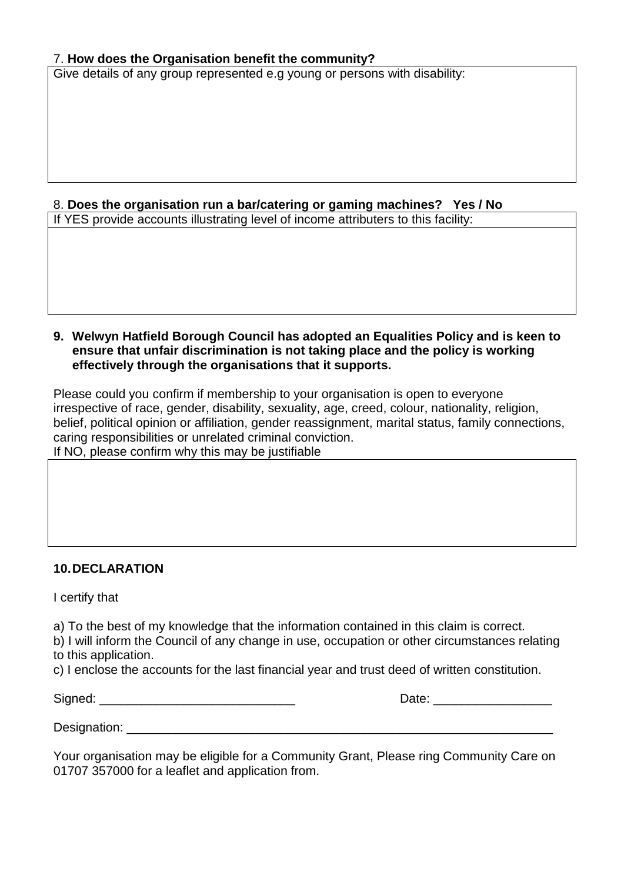### 7. **How does the Organisation benefit the community?**

Give details of any group represented e.g young or persons with disability:

# 8. **Does the organisation run a bar/catering or gaming machines? Yes / No**

If YES provide accounts illustrating level of income attributers to this facility:

#### **9. Welwyn Hatfield Borough Council has adopted an Equalities Policy and is keen to ensure that unfair discrimination is not taking place and the policy is working effectively through the organisations that it supports.**

Please could you confirm if membership to your organisation is open to everyone irrespective of race, gender, disability, sexuality, age, creed, colour, nationality, religion, belief, political opinion or affiliation, gender reassignment, marital status, family connections, caring responsibilities or unrelated criminal conviction. If NO, please confirm why this may be justifiable

### **10.DECLARATION**

I certify that

a) To the best of my knowledge that the information contained in this claim is correct.

b) I will inform the Council of any change in use, occupation or other circumstances relating to this application.

c) I enclose the accounts for the last financial year and trust deed of written constitution.

Signed: \_\_\_\_\_\_\_\_\_\_\_\_\_\_\_\_\_\_\_\_\_\_\_\_\_\_\_\_ Date: \_\_\_\_\_\_\_\_\_\_\_\_\_\_\_\_\_

Designation: \_\_\_\_\_\_\_\_\_\_\_\_\_\_\_\_\_\_\_\_\_\_\_\_\_\_\_\_\_\_\_\_\_\_\_\_\_\_\_\_\_\_\_\_\_\_\_\_\_\_\_\_\_\_\_\_\_\_\_\_\_

Your organisation may be eligible for a Community Grant, Please ring Community Care on 01707 357000 for a leaflet and application from.